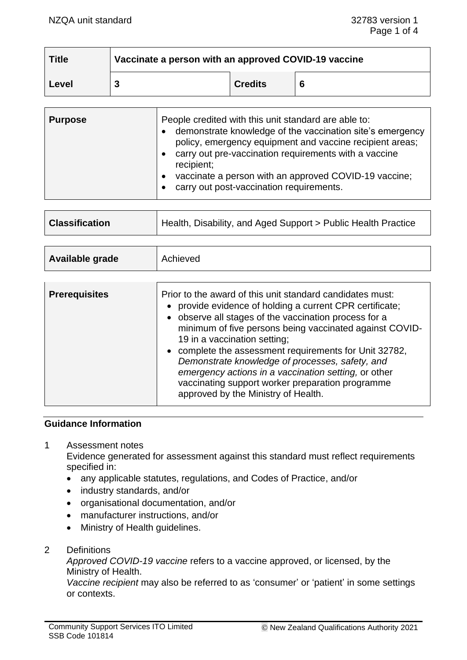| <b>Title</b> | Vaccinate a person with an approved COVID-19 vaccine |                |   |
|--------------|------------------------------------------------------|----------------|---|
| Level        |                                                      | <b>Credits</b> | 6 |

| <b>Purpose</b> | People credited with this unit standard are able to:<br>demonstrate knowledge of the vaccination site's emergency<br>policy, emergency equipment and vaccine recipient areas;<br>carry out pre-vaccination requirements with a vaccine<br>recipient;<br>vaccinate a person with an approved COVID-19 vaccine;<br>carry out post-vaccination requirements. |
|----------------|-----------------------------------------------------------------------------------------------------------------------------------------------------------------------------------------------------------------------------------------------------------------------------------------------------------------------------------------------------------|
|----------------|-----------------------------------------------------------------------------------------------------------------------------------------------------------------------------------------------------------------------------------------------------------------------------------------------------------------------------------------------------------|

| <b>Classification</b> | Health, Disability, and Aged Support > Public Health Practice |
|-----------------------|---------------------------------------------------------------|
|                       |                                                               |

| Available grade | Achieved |
|-----------------|----------|
|                 |          |

| <b>Prerequisites</b> | Prior to the award of this unit standard candidates must:<br>• provide evidence of holding a current CPR certificate;<br>• observe all stages of the vaccination process for a<br>minimum of five persons being vaccinated against COVID-<br>19 in a vaccination setting; |
|----------------------|---------------------------------------------------------------------------------------------------------------------------------------------------------------------------------------------------------------------------------------------------------------------------|
|                      | • complete the assessment requirements for Unit 32782,<br>Demonstrate knowledge of processes, safety, and<br>emergency actions in a vaccination setting, or other<br>vaccinating support worker preparation programme<br>approved by the Ministry of Health.              |

#### **Guidance Information**

1 Assessment notes

Evidence generated for assessment against this standard must reflect requirements specified in:

- any applicable statutes, regulations, and Codes of Practice, and/or
- industry standards, and/or
- organisational documentation, and/or
- manufacturer instructions, and/or
- Ministry of Health guidelines.
- 2 Definitions

*Approved COVID-19 vaccine* refers to a vaccine approved, or licensed, by the Ministry of Health.

*Vaccine recipient* may also be referred to as 'consumer' or 'patient' in some settings or contexts.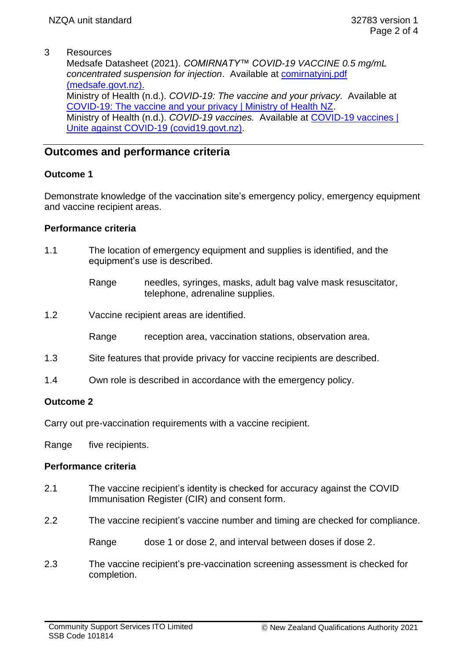# 3 Resources

Medsafe Datasheet (2021). *COMIRNATY™ COVID-19 VACCINE 0.5 mg/mL concentrated suspension for injection*. Available at [comirnatyinj.pdf](https://medsafe.govt.nz/Profs/datasheet/c/comirnatyinj.pdf)  [\(medsafe.govt.nz\).](https://medsafe.govt.nz/Profs/datasheet/c/comirnatyinj.pdf) Ministry of Health (n.d.). *COVID-19: The vaccine and your privacy.* Available at [COVID-19: The vaccine and your privacy | Ministry of Health NZ.](https://www.health.govt.nz/our-work/diseases-and-conditions/covid-19-novel-coronavirus/covid-19-vaccines/covid-19-getting-vaccine/covid-19-vaccine-and-your-privacy) Ministry of Health (n.d.). *COVID-19 vaccines.* Available at [COVID-19 vaccines |](https://covid19.govt.nz/health-and-wellbeing/covid-19-vaccines/?gclid=CjwKCAjwhYOFBhBkEiwASF3KGZiBjACj1I7nNLnNl80iEQiyok-UqbLuAExfTetzf6N_ltEbRUk9cRoChzsQAvD_BwE)  [Unite against COVID-19 \(covid19.govt.nz\).](https://covid19.govt.nz/health-and-wellbeing/covid-19-vaccines/?gclid=CjwKCAjwhYOFBhBkEiwASF3KGZiBjACj1I7nNLnNl80iEQiyok-UqbLuAExfTetzf6N_ltEbRUk9cRoChzsQAvD_BwE)

# **Outcomes and performance criteria**

# **Outcome 1**

Demonstrate knowledge of the vaccination site's emergency policy, emergency equipment and vaccine recipient areas.

### **Performance criteria**

- 1.1 The location of emergency equipment and supplies is identified, and the equipment's use is described.
	- Range needles, syringes, masks, adult bag valve mask resuscitator, telephone, adrenaline supplies.
- 1.2 Vaccine recipient areas are identified.

Range reception area, vaccination stations, observation area.

- 1.3 Site features that provide privacy for vaccine recipients are described.
- 1.4 Own role is described in accordance with the emergency policy.

# **Outcome 2**

Carry out pre-vaccination requirements with a vaccine recipient.

Range five recipients.

# **Performance criteria**

- 2.1 The vaccine recipient's identity is checked for accuracy against the COVID Immunisation Register (CIR) and consent form.
- 2.2 The vaccine recipient's vaccine number and timing are checked for compliance.

Range dose 1 or dose 2, and interval between doses if dose 2.

2.3 The vaccine recipient's pre-vaccination screening assessment is checked for completion.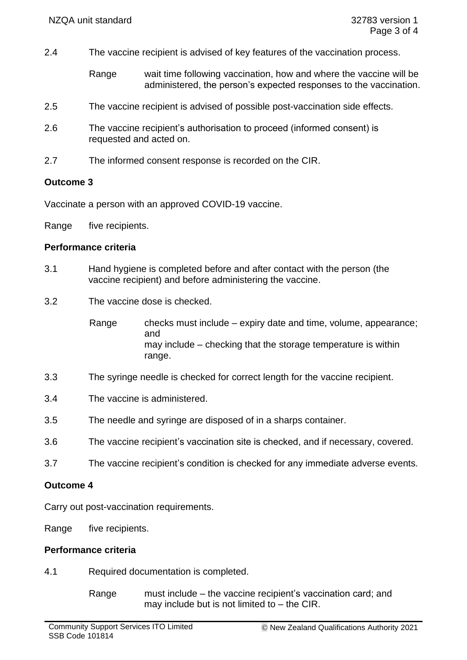- 2.4 The vaccine recipient is advised of key features of the vaccination process.
	- Range wait time following vaccination, how and where the vaccine will be administered, the person's expected responses to the vaccination.
- 2.5 The vaccine recipient is advised of possible post-vaccination side effects.
- 2.6 The vaccine recipient's authorisation to proceed (informed consent) is requested and acted on.
- 2.7 The informed consent response is recorded on the CIR.

### **Outcome 3**

Vaccinate a person with an approved COVID-19 vaccine.

Range five recipients.

### **Performance criteria**

- 3.1 Hand hygiene is completed before and after contact with the person (the vaccine recipient) and before administering the vaccine.
- 3.2 The vaccine dose is checked.
	- Range checks must include expiry date and time, volume, appearance; and may include – checking that the storage temperature is within range.
- 3.3 The syringe needle is checked for correct length for the vaccine recipient.
- 3.4 The vaccine is administered.
- 3.5 The needle and syringe are disposed of in a sharps container.
- 3.6 The vaccine recipient's vaccination site is checked, and if necessary, covered.
- 3.7 The vaccine recipient's condition is checked for any immediate adverse events.

#### **Outcome 4**

Carry out post-vaccination requirements.

Range five recipients.

#### **Performance criteria**

- 4.1 Required documentation is completed.
	- Range must include the vaccine recipient's vaccination card; and may include but is not limited to  $-$  the CIR.